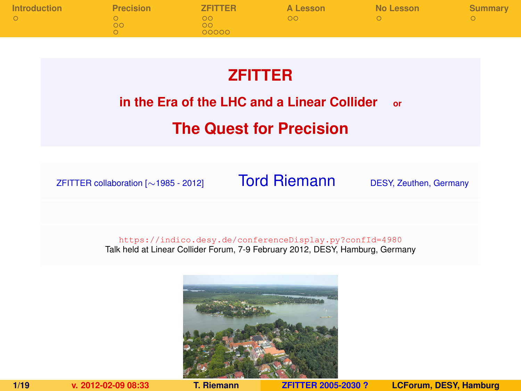| <b>Introduction</b> | <b>Precision</b> | <b>ZFITTER</b>    | A Lesson | No Lesson | Summary |
|---------------------|------------------|-------------------|----------|-----------|---------|
|                     | ററ               | ററ<br>ററ<br>00000 | OΩ       |           |         |

# **ZFITTER**

## **in the Era of the LHC and a Linear Collider or**

# **The Quest for Precision**

ZFITTER collaboration [∼1985 - 2012] Tord Riemann DESY, Zeuthen, Germany

<https://indico.desy.de/conferenceDisplay.py?confId=4980> Talk held at Linear Collider Forum, 7-9 February 2012, DESY, Hamburg, Germany



<span id="page-0-0"></span>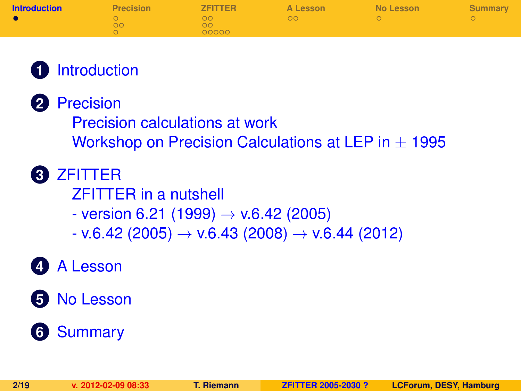| <b>Introduction</b> | <b>Precision</b> | <b>ZFITTER</b>      | A Lesson | No Lesson | Summary |
|---------------------|------------------|---------------------|----------|-----------|---------|
|                     | ററ               | . ററ<br>ററ<br>00000 | ററ       |           |         |

# **1** [Introduction](#page-1-0)

**2** [Precision](#page-2-0)

[Precision calculations at work](#page-3-0)

[Workshop on Precision Calculations at LEP in](#page-5-0)  $\pm$  1995

- **3** [ZFITTER](#page-6-0)
	- [ZFITTER in a nutshell](#page-6-0)
	- $-$  version 6.21 (1999)  $\rightarrow$  v.6.42 (2005)
	- $-$  v.6.42 (2005)  $\rightarrow$  v.6.43 (2008)  $\rightarrow$  v.6.44 (2012)

# **4** [A Lesson](#page-15-0)

**5** [No Lesson](#page-17-0)

# <span id="page-1-0"></span>**6** [Summary](#page-18-0)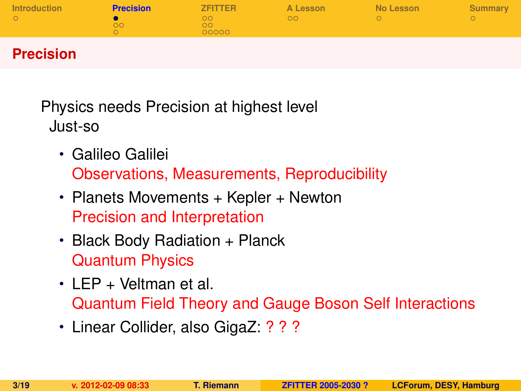| <b>Introduction</b> | Precision | <b>ZFITTER</b>    | A Lesson | No Lesson | <b>Summary</b> |
|---------------------|-----------|-------------------|----------|-----------|----------------|
|                     | חר        | ററ<br>nn<br>00000 | OO       |           |                |

# **Precision**

Physics needs Precision at highest level Just-so

- Galileo Galilei Observations, Measurements, Reproducibility
- Planets Movements + Kepler + Newton Precision and Interpretation
- Black Body Radiation + Planck Quantum Physics
- LEP + Veltman et al. Quantum Field Theory and Gauge Boson Self Interactions
- <span id="page-2-0"></span>• Linear Collider, also GigaZ: ? ? ?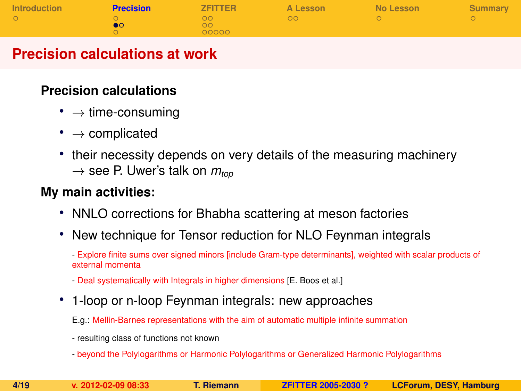| Introduction | <b>Precision</b> | <b>ZFITTER</b> | A Lesson | No Lesson | Summary |
|--------------|------------------|----------------|----------|-----------|---------|
|              |                  | ററ             | OΩ       |           |         |
|              |                  | ററ             |          |           |         |
|              |                  | 00000          |          |           |         |

## **Precision calculations at work**

#### **Precision calculations**

- $\rightarrow$  time-consuming
- $\bullet \rightarrow$  complicated
- their necessity depends on very details of the measuring machinery  $\rightarrow$  see P. Uwer's talk on  $m_{top}$

### **My main activities:**

- NNLO corrections for Bhabha scattering at meson factories
- New technique for Tensor reduction for NLO Feynman integrals
	- Explore finite sums over signed minors [include Gram-type determinants], weighted with scalar products of external momenta
	- Deal systematically with Integrals in higher dimensions [E. Boos et al.]
- 1-loop or n-loop Feynman integrals: new approaches

E.g.: Mellin-Barnes representations with the aim of automatic multiple infinite summation

- resulting class of functions not known
- beyond the Polylogarithms or Harmonic Polylogarithms or Generalized Harmonic Polylogarithms

<span id="page-3-0"></span>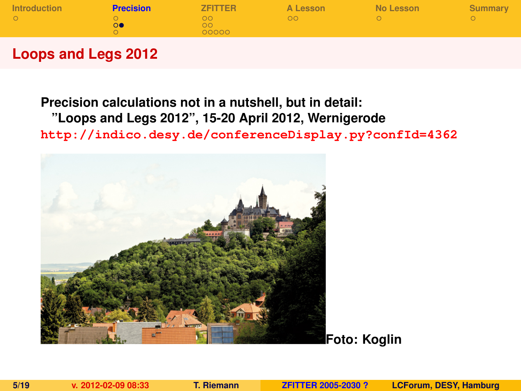| ററ<br>ററ<br>00000 | OΩ |  |
|-------------------|----|--|

## **Loops and Legs 2012**

## **Precision calculations not in a nutshell, but in detail: "Loops and Legs 2012", 15-20 April 2012, Wernigerode <http://indico.desy.de/conferenceDisplay.py?confId=4362>**

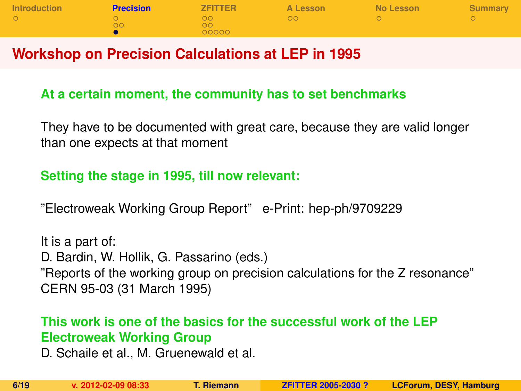| <b>Introduction</b> | <b>Precision</b> | <b>ZFITTER</b> | A Lesson | No Lesson | Summary |
|---------------------|------------------|----------------|----------|-----------|---------|
|                     |                  | . വ            | -ററ      |           |         |
|                     | OO.              | ററ             |          |           |         |
|                     |                  | 00000          |          |           |         |

### **Workshop on Precision Calculations at LEP in 1995**

#### **At a certain moment, the community has to set benchmarks**

They have to be documented with great care, because they are valid longer than one expects at that moment

#### **Setting the stage in 1995, till now relevant:**

"Electroweak Working Group Report" e-Print: hep-ph/9709229

It is a part of: D. Bardin, W. Hollik, G. Passarino (eds.) "Reports of the working group on precision calculations for the Z resonance" CERN 95-03 (31 March 1995)

#### **This work is one of the basics for the successful work of the LEP Electroweak Working Group**

<span id="page-5-0"></span>D. Schaile et al., M. Gruenewald et al.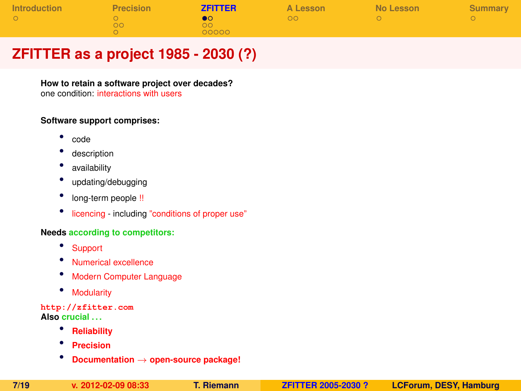| Introduction | <b>Precision</b> | <b>ZFITTER</b>           | A Lesson | No Lesson | Summary |
|--------------|------------------|--------------------------|----------|-----------|---------|
|              | no.              | $\bullet$<br>ററ<br>00000 | OΩ       |           |         |

# **ZFITTER as a project 1985 - 2030 (?)**

**How to retain a software project over decades?**

one condition: interactions with users

#### **Software support comprises:**

- code
- description
- availability
- updating/debugging
- long-term people !!
- licencing including "conditions of proper use"

#### **Needs according to competitors:**

- Support
- Numerical excellence
- Modern Computer Language
- Modularity

#### **<http://zfitter.com> Also crucial . . .**

- **Reliability**
- **Precision**
- <span id="page-6-0"></span>• **Documentation** <sup>→</sup> **open-source package!**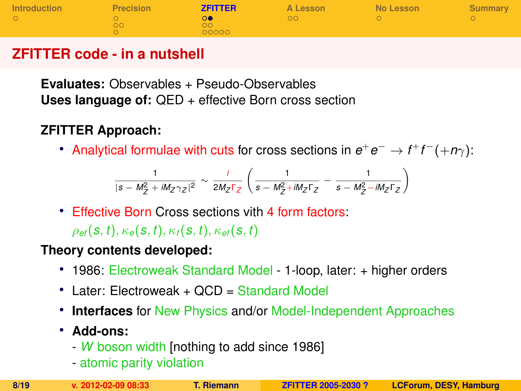| <b>Introduction</b> | <b>Precision</b> | <b>ZFITTER</b> | A Lesson | No Lesson | <b>Summary</b> |
|---------------------|------------------|----------------|----------|-----------|----------------|
|                     | DС               | ററ<br>00000    | DO       |           |                |

# **ZFITTER code - in a nutshell**

**Evaluates:** Observables + Pseudo-Observables **Uses language of:** QED + effective Born cross section

# **ZFITTER Approach:**

• Analytical formulae with cuts for cross sections in  $e^+e^-\to f^+f^-(+\eta\gamma)$ :

$$
\frac{1}{|s-M_{Z}^{2}+iM_{Z}\gamma_{Z}|^{2}}\sim\frac{i}{2M_{Z}\Gamma_{Z}}\left(\frac{1}{s-M_{Z}^{2}+iM_{Z}\Gamma_{Z}}-\frac{1}{s-M_{Z}^{2}-iM_{Z}\Gamma_{Z}}\right)
$$

• Effective Born Cross sections vith 4 form factors:  $\rho_{ef}(s,t), \kappa_{ef}(s,t), \kappa_{ff}(s,t), \kappa_{ef}(s,t)$ 

#### **Theory contents developed:**

- 1986: Electroweak Standard Model 1-loop, later: + higher orders
- Later: Electroweak + OCD = Standard Model
- **Interfaces** for New Physics and/or Model-Independent Approaches
- **Add-ons:**
	- *W* boson width [nothing to add since 1986]
	- atomic parity violation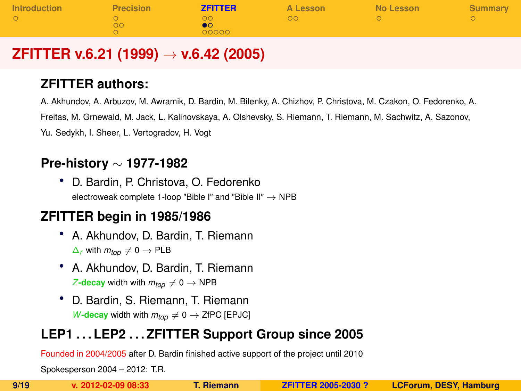| Introduction | <b>Precision</b> | <b>ZFITTER</b> | A Lesson | No Lesson | Summary |
|--------------|------------------|----------------|----------|-----------|---------|
|              | DС               | nn.<br>00000   | DО       |           |         |

# **ZFITTER v.6.21 (1999)** → **v.6.42 (2005)**

### **ZFITTER authors:**

A. Akhundov, A. Arbuzov, M. Awramik, D. Bardin, M. Bilenky, A. Chizhov, P. Christova, M. Czakon, O. Fedorenko, A. Freitas, M. Grnewald, M. Jack, L. Kalinovskaya, A. Olshevsky, S. Riemann, T. Riemann, M. Sachwitz, A. Sazonov, Yu. Sedykh, I. Sheer, L. Vertogradov, H. Vogt

# **Pre-history** ∼ **1977-1982**

• D. Bardin, P. Christova, O. Fedorenko electroweak complete 1-loop "Bible I" and "Bible II"  $\rightarrow$  NPB

### **ZFITTER begin in 1985/1986**

- A. Akhundov, D. Bardin, T. Riemann  $\Delta$ *r* with  $m$ *top* ≠ 0 → PLB
- A. Akhundov, D. Bardin, T. Riemann *Z***-decay** width with  $m_{top} \neq 0 \rightarrow \text{NPB}$
- <span id="page-8-0"></span>• D. Bardin, S. Riemann, T. Riemann *W***-decay** width with  $m_{top} \neq 0 \rightarrow$  ZfPC [EPJC]

# **LEP1 . . . LEP2 . . . ZFITTER Support Group since 2005**

Founded in 2004/2005 after D. Bardin finished active support of the project until 2010

Spokesperson 2004 – 2012: T.R.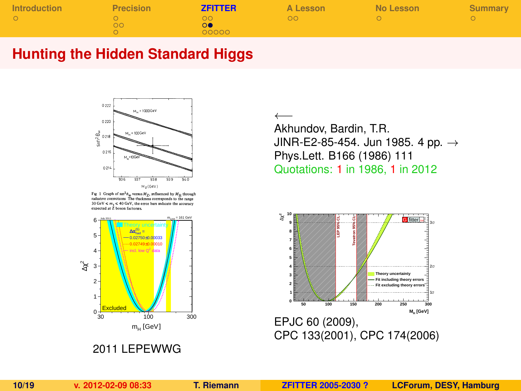| <b>Introduction</b> | <b>Precision</b> | <b>ZFITTER</b> | A Lesson | No Lesson | <b>Summary</b> |
|---------------------|------------------|----------------|----------|-----------|----------------|
|                     | ລດ               | ററ<br>00000    | DО       |           |                |

### **Hunting the Hidden Standard Higgs**



Fig. 1 Graph of  $\sin^2\theta_w$  versus  $M_Z$ , influenced by  $M_H$  through radiative corrections The tluckness corresponds to the range  $30 \text{ GeV} \le m_s \le 40 \text{ GeV}$ , the error bars indicate the accuracy expected at 2 boson factories.



2011 LEPEWWG

←− Akhundov, Bardin, T.R. JINR-E2-85-454. Jun 1985. 4 pp.  $\rightarrow$ Phys.Lett. B166 (1986) 111 Quotations: 1 in 1986, 1 in 2012

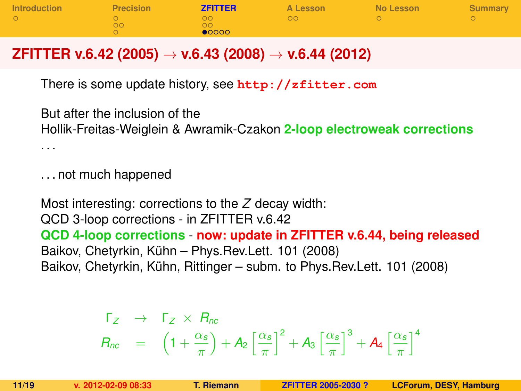| Introduction | Precision | <b>ZFITTER</b> | A Lesson | No Lesson | Summary |
|--------------|-----------|----------------|----------|-----------|---------|
|              |           | ററ             | ററ       |           |         |
|              | <b>OO</b> | ററ             |          |           |         |
|              |           | $\bullet$ 0000 |          |           |         |

# **ZFITTER v.6.42 (2005)** → **v.6.43 (2008)** → **v.6.44 (2012)**

There is some update history, see **<http://zfitter.com>**

But after the inclusion of the Hollik-Freitas-Weiglein & Awramik-Czakon **2-loop electroweak corrections**

. . .

. . . not much happened

Most interesting: corrections to the *Z* decay width: QCD 3-loop corrections - in ZFITTER v.6.42 **QCD 4-loop corrections** - **now: update in ZFITTER v.6.44, being released** Baikov, Chetyrkin, Kühn – Phys.Rev.Lett. 101 (2008) Baikov, Chetyrkin, Kühn, Rittinger – subm. to Phys. Rev. Lett. 101 (2008)

<span id="page-10-0"></span>
$$
\begin{array}{rcl}\n\Gamma_Z & \rightarrow & \Gamma_Z \times R_{nc} \\
R_{nc} & = & \left(1 + \frac{\alpha_s}{\pi}\right) + A_2 \left[\frac{\alpha_s}{\pi}\right]^2 + A_3 \left[\frac{\alpha_s}{\pi}\right]^3 + A_4 \left[\frac{\alpha_s}{\pi}\right]^4\n\end{array}
$$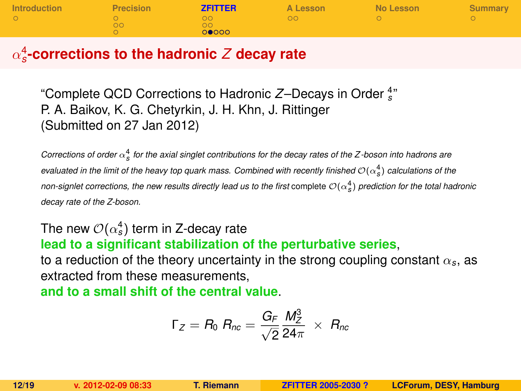| Introduction | Precision | <b>ZFITTER</b> | A Lesson | No Lesson | Summary |
|--------------|-----------|----------------|----------|-----------|---------|
|              |           | ററ             | ററ       |           |         |
|              | הר        | $\Omega$       |          |           |         |
|              |           | 00000          |          |           |         |

# α 4 *s* **-corrections to the hadronic** *Z* **decay rate**

"Complete QCD Corrections to Hadronic Z-Decays in Order  $\frac{4}{s}$ " P. A. Baikov, K. G. Chetyrkin, J. H. Khn, J. Rittinger (Submitted on 27 Jan 2012)

*Corrections of order*  $\alpha_s^4$  *for the axial singlet contributions for the decay rates of the Z-boson into hadrons are evaluated in the limit of the heavy top quark mass. Combined with recently finished*  $\mathcal{O}(\alpha_S^4)$  *calculations of the non-signlet corrections, the new results directly lead us to the first* complete  $\mathcal{O}(\alpha_S^4)$  prediction for the total hadronic *decay rate of the Z-boson.*

# The new  ${\cal O}(\alpha_s^4)$  term in Z-decay rate

**lead to a significant stabilization of the perturbative series**,

to a reduction of the theory uncertainty in the strong coupling constant  $\alpha_s$ , as extracted from these measurements,

**and to a small shift of the central value**.

$$
\Gamma_Z = R_0 \; R_{nc} = \frac{G_F}{\sqrt{2}} \frac{M_Z^3}{24\pi} \; \times \; R_{nc}
$$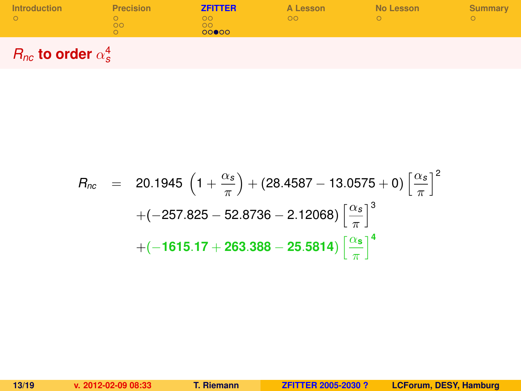| <b>Introduction</b> | <b>Precision</b> | <b>ZFITTER</b>     | A Lesson | No Lesson | Summary |
|---------------------|------------------|--------------------|----------|-----------|---------|
|                     | DО               | ה ר<br>הר<br>00000 | OC       |           |         |
|                     |                  |                    |          |           |         |

 $R_{nc}$  to order  $\alpha_s^4$ 

$$
R_{nc} = 20.1945 \left(1 + \frac{\alpha_s}{\pi}\right) + (28.4587 - 13.0575 + 0) \left[\frac{\alpha_s}{\pi}\right]^2
$$

$$
+ (-257.825 - 52.8736 - 2.12068) \left[\frac{\alpha_s}{\pi}\right]^3
$$

$$
+ (-1615.17 + 263.388 - 25.5814) \left[\frac{\alpha_s}{\pi}\right]^4
$$

**13/19 v. 2012-02-09 08:33 T. Riemann [ZFITTER 2005-2030 ?](#page-0-0) LCForum, DESY, Hamburg**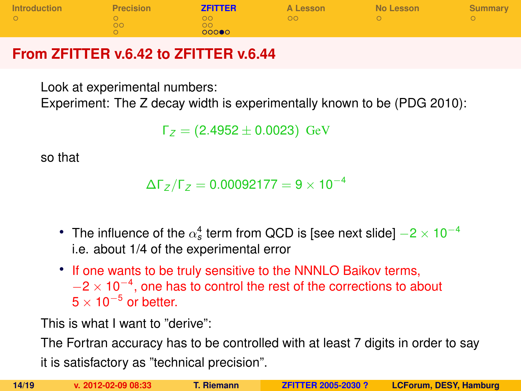| Introduction | <b>Precision</b> | <b>ZFITTER</b>           | A Lesson | No Lesson | <b>Summary</b> |
|--------------|------------------|--------------------------|----------|-----------|----------------|
|              | ാറ               | nn<br>ററ<br><b>DOO00</b> | DО       |           |                |

# **From ZFITTER v.6.42 to ZFITTER v.6.44**

Look at experimental numbers:

Experiment: The Z decay width is experimentally known to be (PDG 2010):

Γ*<sup>Z</sup>* = (2.4952 ± 0.0023) GeV

so that

 $\Delta\Gamma$ <sub>*Z*</sub> /Γ<sub>*Z*</sub> = 0.00092177 = 9 × 10<sup>-4</sup>

- The influence of the  $\alpha_s^4$  term from QCD is [see next slide]  $-2\times10^{-4}$ i.e. about 1/4 of the experimental error
- If one wants to be truly sensitive to the NNNLO Baikov terms,  $-2 \times 10^{-4}$ , one has to control the rest of the corrections to about  $5 \times 10^{-5}$  or better.

This is what I want to "derive":

The Fortran accuracy has to be controlled with at least 7 digits in order to say

it is satisfactory as "technical precision".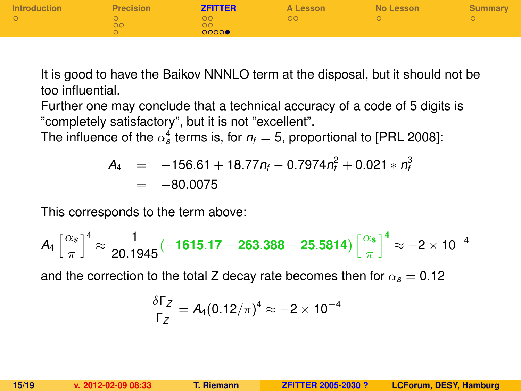| Introduction | <b>Precision</b> | <b>ZFITTER</b>   | A Lesson | No Lesson | Summary |
|--------------|------------------|------------------|----------|-----------|---------|
|              | OO               | ററ<br>ററ<br>0000 | OΩ       |           |         |

It is good to have the Baikov NNNLO term at the disposal, but it should not be too influential.

Further one may conclude that a technical accuracy of a code of 5 digits is "completely satisfactory", but it is not "excellent".

The influence of the  $\alpha_s^4$  terms is, for  $n_{\rm f}=$  5, proportional to [PRL 2008]:

$$
A_4 = -156.61 + 18.77n_f - 0.7974n_f^2 + 0.021 * n_f^3
$$
  
= -80.0075

This corresponds to the term above:

$$
A_4\left[\frac{\alpha_s}{\pi}\right]^4\approx \frac{1}{20.1945}(-1615.17+263.388-25.5814)\left[\frac{\alpha_s}{\pi}\right]^4\approx -2\times 10^{-4}
$$

and the correction to the total Z decay rate becomes then for  $\alpha_s = 0.12$ 

$$
\frac{\delta\Gamma_Z}{\Gamma_Z}=A_4(0.12/\pi)^4\approx-2\times10^{-4}
$$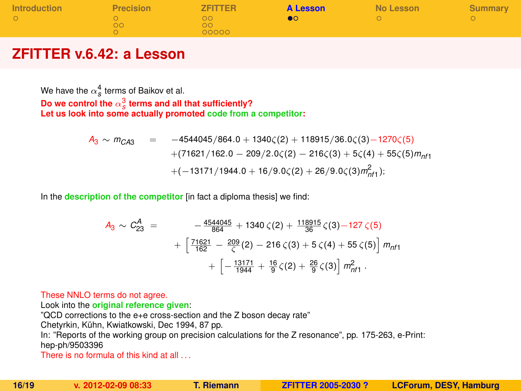| Introduction | <b>Precision</b> | <b>ZFITTER</b>    | <b>A Lesson</b> | No Lesson | Summary |
|--------------|------------------|-------------------|-----------------|-----------|---------|
|              | OO.              | ററ<br>ററ<br>00000 |                 |           |         |

## **ZFITTER v.6.42: a Lesson**

We have the  $\alpha_s^4$  terms of Baikov et al. Do we control the  $\alpha_s^3$  terms and all that sufficiently? Let us look into some actually promoted  $\c{code from a competitor:}$ 

$$
A_3 \sim m_{C A 3} = -4544045/864.0 + 1340 \zeta(2) + 118915/36.0 \zeta(3) - 1270 \zeta(5)
$$
  
+ (71621/162.0 - 209/2.0 \zeta(2) - 216 \zeta(3) + 5 \zeta(4) + 55 \zeta(5) m\_{n11}  
+ (-13171/1944.0 + 16/9.0 \zeta(2) + 26/9.0 \zeta(3) m\_{n11}^2);

In the **description of the competitor** [in fact a diploma thesis] we find:

<span id="page-15-0"></span>
$$
A_3 \sim C_{23}^A = -\frac{4544045}{864} + 1340 \zeta(2) + \frac{118915}{86} \zeta(3) - 127 \zeta(5)
$$
  
+ 
$$
\left[ \frac{71621}{162} - \frac{209}{\zeta}(2) - 216 \zeta(3) + 5 \zeta(4) + 55 \zeta(5) \right] m_{n11} + \left[ -\frac{13171}{1944} + \frac{16}{9} \zeta(2) + \frac{26}{9} \zeta(3) \right] m_{n11}^2.
$$

#### These NNLO terms do not agree.

Look into the **original reference given**:

"QCD corrections to the e+e cross-section and the Z boson decay rate"

Chetyrkin, Kühn, Kwiatkowski, Dec 1994, 87 pp.

In: "Reports of the working group on precision calculations for the Z resonance", pp. 175-263, e-Print: hep-ph/9503396

There is no formula of this kind at all . . .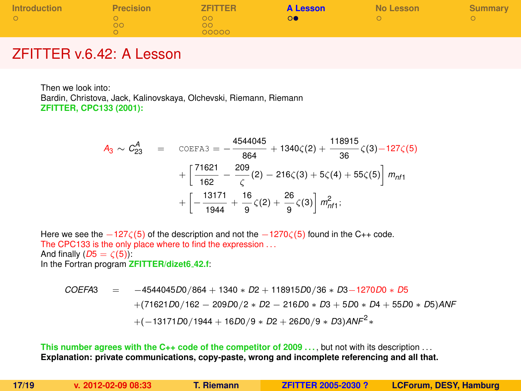| <b>Introduction</b> | <b>Precision</b> | <b>ZFITTER</b>    | <b>A Lesson</b> | No Lesson | <b>Summary</b> |
|---------------------|------------------|-------------------|-----------------|-----------|----------------|
|                     | ററ               | ററ<br>ററ<br>00000 |                 |           |                |

### ZFITTER v.6.42: A Lesson

Then we look into: Bardin, Christova, Jack, Kalinovskaya, Olchevski, Riemann, Riemann **ZFITTER, CPC133 (2001):**

$$
A_3 \sim C_{23}^A = \text{COEFA3} = -\frac{4544045}{864} + 1340\zeta(2) + \frac{118915}{36}\zeta(3) - 127\zeta(5)
$$

$$
+ \left[\frac{71621}{162} - \frac{209}{\zeta}(2) - 216\zeta(3) + 5\zeta(4) + 55\zeta(5)\right] m_{nft} + \left[-\frac{13171}{1944} + \frac{16}{9}\zeta(2) + \frac{26}{9}\zeta(3)\right] m_{nft}^2;
$$

Here we see the −127 $\zeta(5)$  of the description and not the −1270 $\zeta(5)$  found in the C++ code. The CPC133 is the only place where to find the expression ... And finally  $(D5 = \zeta(5))$ : In the Fortran program **ZFITTER/dizet6 42.f**:

$$
COEFA3 = -4544045D0/864 + 1340 * D2 + 118915D0/36 * D3 - 1270D0 * D5
$$
  
+
$$
(71621D0/162 - 209D0/2 * D2 - 216D0 * D3 + 5D0 * D4 + 55D0 * D5)ANF
$$
  
+
$$
(-13171D0/1944 + 16D0/9 * D2 + 26D0/9 * D3)ANF2*
$$

**This number agrees with the C++ code of the competitor of 2009 ... but not with its description ... Explanation: private communications, copy-paste, wrong and incomplete referencing and all that.**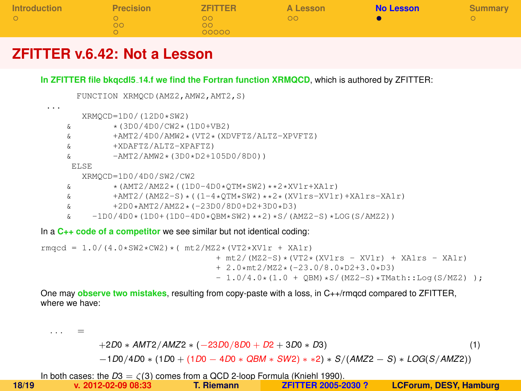| <b>Introduction</b> | <b>Precision</b> | <b>ZFITTER</b> | A Lesson | <b>No Lesson</b> | Summary |
|---------------------|------------------|----------------|----------|------------------|---------|
| $\circ$             | ററ               | ററ<br>ററ       | ററ       |                  |         |
|                     |                  | 00000          |          |                  |         |

### **ZFITTER v.6.42: Not a Lesson**

**In ZFITTER file bkqcdl5 14.f we find the Fortran function XRMQCD**, which is authored by ZFITTER:

```
FUNCTION XRMQCD(AMZ2,AMW2,AMT2,S)
...
        XRMQCD=1D0/(12D0*SW2)
    \frac{1}{6} * (3D0/4D0/CW2 * (1D0+VB2)<br>\frac{1}{6} + AMT2/4D0/AMW2 * (VT2 * (XD
    & +AMT2/4D0/AMW2*(VT2*(XDVFTZ/ALTZ-XPVFTZ)
               & +XDAFTZ/ALTZ-XPAFTZ)
    & -AMT2/AMW2*(3D0*D2+105D0/8D0))
      ELSE
        XRMQCD=1D0/4D0/SW2/CW2
    \& *(AMT2/AMZ2*((1D0-4D0*OTM*SW2)**2*XV1r+XA1r)
    \frac{1}{2} +AMT2/(AMZ2-S)*((1-4*QTM*SW2)**2*(XV1rs-XV1r)+XA1rs-XA1r)<br>5 +2D0*AMT2/AMZ2*(-23D0/8D0+D2+3D0*D3)
    \frac{1}{2} +2D0*AMT2/AMZ2*(-23D0/8D0+D2+3D0*D3)<br>5) -1D0/4D0+(1D0+(1D0-4D0+0RM*SW2)++2)+S/(A
           -1D0/4D0*(1D0+(1D0-4D0*0BM*SW2)**2)*S/(AMZ2-S)*I_0OG(S/AMZ2))
```
In a **C++ code of a competitor** we see similar but not identical coding:

rmgcd = 1.0/(4.0\*SW2\*CW2)\*(  $m+2/MZ^*(V+Z^*XV+T^* + XATr)$  $+$  mt2/(MZ2-S)\*(VT2\*(XV1rs - XV1r) + XA1rs - XA1r) + 2.0\*mt2/MZ2\*(-23.0/8.0\*D2+3.0\*D3)  $- 1.0/4.0*(1.0 + OBM)*S/(MZ2-S)*TMath::Log(S/MZ2)$  ):

One may **observe two mistakes**, resulting from copy-paste with a loss, in C++/rmqcd compared to ZFITTER, where we have:

<span id="page-17-0"></span>+2*D*0 ∗ *AMT*2/*AMZ*2 ∗ (−23*D*0/8*D*0 + *D*2 + 3*D*0 ∗ *D*3) (1) −1*D*0/4*D*0 ∗ (1*D*0 + (1*D*0 − 4*D*0 ∗ *QBM* ∗ *SW*2) ∗ ∗2) ∗ *S*/(*AMZ*2 − *S*) ∗ *LOG*(*S*/*AMZ*2))

In both cases: the  $D3 = \zeta(3)$  comes from a QCD 2-loop Formula (Kniehl 1990).<br>**T. Riemann Example 2005-2030 2 18/19 v. 2012-02-09 08:33 T. Riemann [ZFITTER 2005-2030 ?](#page-0-0) LCForum, DESY, Hamburg**

. . . =